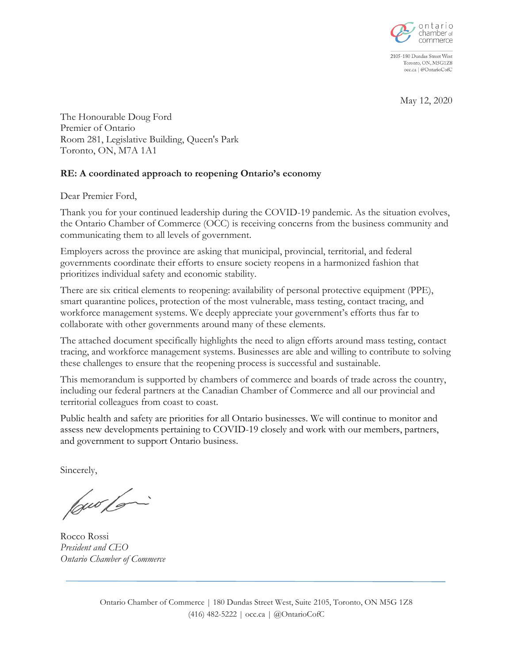

2105-180 Dundas Street West Toronto, ON, M5G1Z8 occ.ca | @OntarioCofC

May 12, 2020

The Honourable Doug Ford Premier of Ontario Room 281, Legislative Building, Queen's Park Toronto, ON, M7A 1A1

## **RE: A coordinated approach to reopening Ontario's economy**

Dear Premier Ford,

Thank you for your continued leadership during the COVID-19 pandemic. As the situation evolves, the Ontario Chamber of Commerce (OCC) is receiving concerns from the business community and communicating them to all levels of government.

Employers across the province are asking that municipal, provincial, territorial, and federal governments coordinate their efforts to ensure society reopens in a harmonized fashion that prioritizes individual safety and economic stability.

There are six critical elements to reopening: availability of personal protective equipment (PPE), smart quarantine polices, protection of the most vulnerable, mass testing, contact tracing, and workforce management systems. We deeply appreciate your government's efforts thus far to collaborate with other governments around many of these elements.

The attached document specifically highlights the need to align efforts around mass testing, contact tracing, and workforce management systems. Businesses are able and willing to contribute to solving these challenges to ensure that the reopening process is successful and sustainable.

This memorandum is supported by chambers of commerce and boards of trade across the country, including our federal partners at the Canadian Chamber of Commerce and all our provincial and territorial colleagues from coast to coast.

Public health and safety are priorities for all Ontario businesses. We will continue to monitor and assess new developments pertaining to COVID-19 closely and work with our members, partners, and government to support Ontario business.

Sincerely,

low loi

Rocco Rossi *President and CEO Ontario Chamber of Commerce*